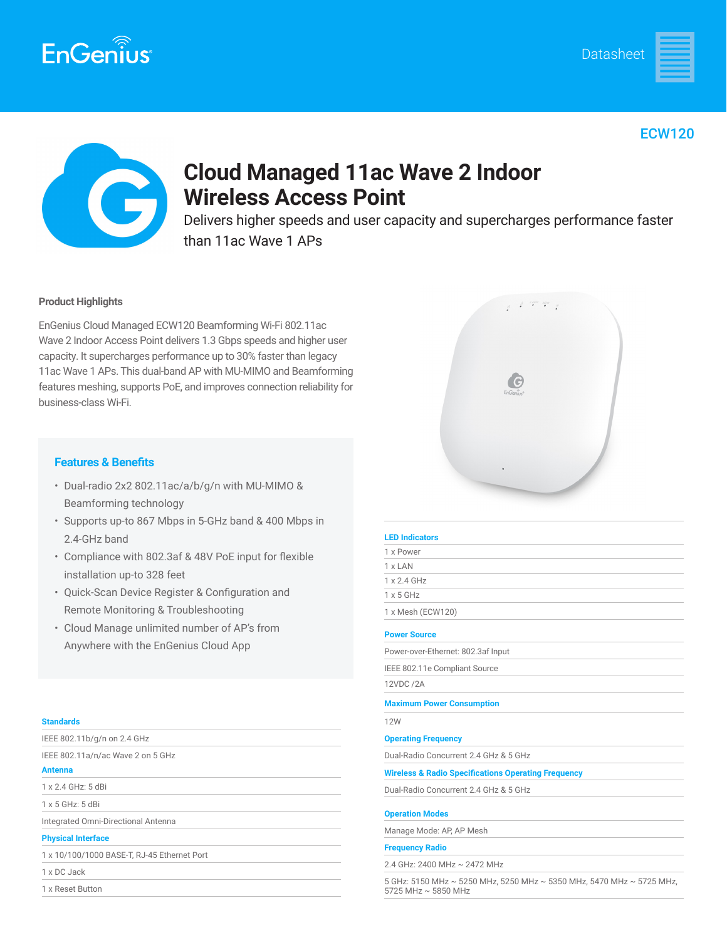



# ECW120



# **Cloud Managed 11ac Wave 2 Indoor Wireless Access Point**

Delivers higher speeds and user capacity and supercharges performance faster than 11ac Wave 1 APs

# **Product Highlights**

EnGenius Cloud Managed ECW120 Beamforming Wi-Fi 802.11ac Wave 2 Indoor Access Point delivers 1.3 Gbps speeds and higher user capacity. It supercharges performance up to 30% faster than legacy 11ac Wave 1 APs. This dual-band AP with MU-MIMO and Beamforming features meshing, supports PoE, and improves connection reliability for business-class Wi-Fi.



- Dual-radio 2x2 802.11ac/a/b/g/n with MU-MIMO & Beamforming technology
- Supports up-to 867 Mbps in 5-GHz band & 400 Mbps in 2.4-GHz band
- Compliance with 802.3af & 48V PoE input for flexible installation up-to 328 feet
- Quick-Scan Device Register & Configuration and Remote Monitoring & Troubleshooting
- Cloud Manage unlimited number of AP's from Anywhere with the EnGenius Cloud App

### **Standards**

IEEE 802.11a/n/ac Wave 2 on 5 GHz

**Antenna**

1 x 2.4 GHz: 5 dBi

1 x 5 GHz: 5 dBi

Integrated Omni-Directional Antenna

## **Physical Interface**

1 x 10/100/1000 BASE-T, RJ-45 Ethernet Port

#### 1 x DC Jack

1 x Reset Button



| <b>LED Indicators</b>                                                                        |
|----------------------------------------------------------------------------------------------|
| 1 x Power                                                                                    |
| 1 x LAN                                                                                      |
| 1 x 2.4 GHz                                                                                  |
| $1 \times 5$ GHz                                                                             |
| 1 x Mesh (ECW120)                                                                            |
| <b>Power Source</b>                                                                          |
| Power-over-Ethernet: 802.3af Input                                                           |
| IEEE 802.11e Compliant Source                                                                |
| 12VDC /2A                                                                                    |
| <b>Maximum Power Consumption</b>                                                             |
| <b>12W</b>                                                                                   |
| <b>Operating Frequency</b>                                                                   |
| Dual-Radio Concurrent 2.4 GHz & 5 GHz                                                        |
| <b>Wireless &amp; Radio Specifications Operating Frequency</b>                               |
| Dual-Radio Concurrent 2.4 GHz & 5 GHz                                                        |
| <b>Operation Modes</b>                                                                       |
| Manage Mode: AP, AP Mesh                                                                     |
| <b>Frequency Radio</b>                                                                       |
| 2.4 GHz: 2400 MHz ~ 2472 MHz                                                                 |
| 5 GHz: 5150 MHz ~ 5250 MHz, 5250 MHz ~ 5350 MHz, 5470 MHz ~ 5725 MHz,<br>5725 MHz ~ 5850 MHz |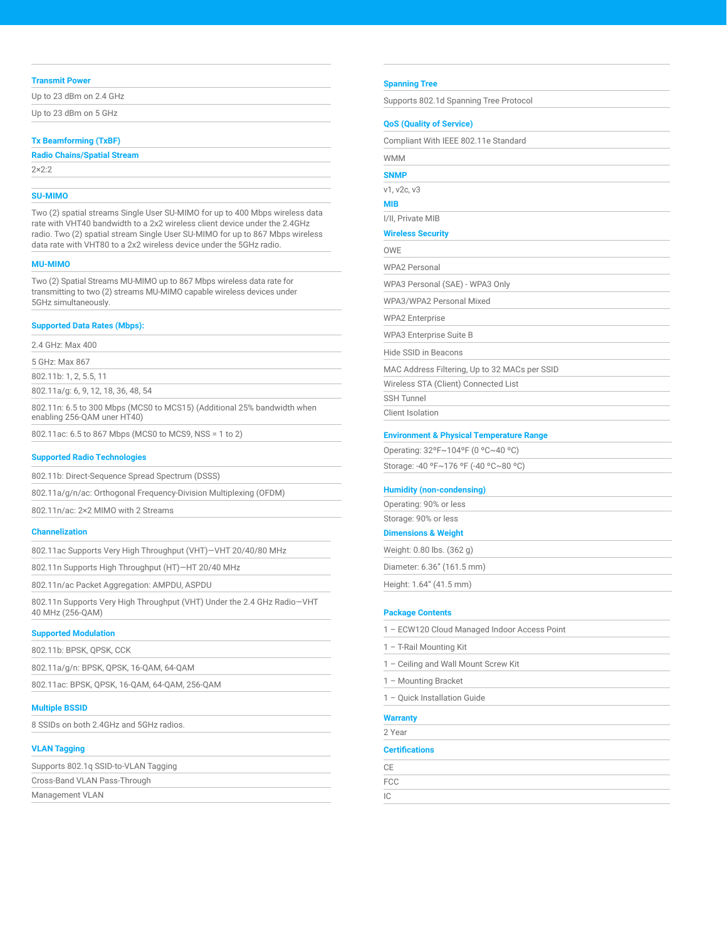#### **Transmit Power**

| Up to 23 dBm on 2.4 GHz |  |
|-------------------------|--|
| Up to 23 dBm on 5 GHz   |  |

#### **Tx Beamforming (TxBF)**

| <b>Radio Chains/Spatial Stream</b> |  |
|------------------------------------|--|
| $2 \times 2:2$                     |  |

# **SU-MIMO**

Two (2) spatial streams Single User SU-MIMO for up to 400 Mbps wireless data rate with VHT40 bandwidth to a 2x2 wireless client device under the 2.4GHz radio. Two (2) spatial stream Single User SU-MIMO for up to 867 Mbps wireless data rate with VHT80 to a 2x2 wireless device under the 5GHz radio.

#### **MU-MIMO**

Two (2) Spatial Streams MU-MIMO up to 867 Mbps wireless data rate for transmitting to two (2) streams MU-MIMO capable wireless devices under 5GHz simultaneously.

#### **Supported Data Rates (Mbps):**

2.4 GHz: Max 400

5 GHz: Max 867

802.11b: 1, 2, 5.5, 11

802.11a/g: 6, 9, 12, 18, 36, 48, 54

802.11n: 6.5 to 300 Mbps (MCS0 to MCS15) (Additional 25% bandwidth when enabling 256-QAM uner HT40)

802.11ac: 6.5 to 867 Mbps (MCS0 to MCS9, NSS = 1 to 2)

#### **Supported Radio Technologies**

802.11b: Direct-Sequence Spread Spectrum (DSSS)

802.11a/g/n/ac: Orthogonal Frequency-Division Multiplexing (OFDM)

802.11n/ac: 2×2 MIMO with 2 Streams

#### **Channelization**

802.11ac Supports Very High Throughput (VHT)—VHT 20/40/80 MHz

802.11n Supports High Throughput (HT)—HT 20/40 MHz

802.11n/ac Packet Aggregation: AMPDU, ASPDU

802.11n Supports Very High Throughput (VHT) Under the 2.4 GHz Radio—VHT 40 MHz (256-QAM)

## **Supported Modulation**

802.11b: BPSK, QPSK, CCK

802.11a/g/n: BPSK, QPSK, 16-QAM, 64-QAM

802.11ac: BPSK, QPSK, 16-QAM, 64-QAM, 256-QAM

## **Multiple BSSID**

8 SSIDs on both 2.4GHz and 5GHz radios.

## **VLAN Tagging**

| Supports 802.1g SSID-to-VLAN Tagging |  |
|--------------------------------------|--|
| Cross-Band VLAN Pass-Through         |  |
| Management VLAN                      |  |

#### **Spanning Tree**

Supports 802.1d Spanning Tree Protocol

## **QoS (Quality of Service)**

| Compliant With IEEE 802.11e Standard          |
|-----------------------------------------------|
| <b>WMM</b>                                    |
| <b>SNMP</b>                                   |
| v1, v2c, v3                                   |
| <b>MIB</b>                                    |
| I/II, Private MIB                             |
| <b>Wireless Security</b>                      |
| OWE                                           |
| <b>WPA2 Personal</b>                          |
| WPA3 Personal (SAE) - WPA3 Only               |
| WPA3/WPA2 Personal Mixed                      |
| <b>WPA2 Enterprise</b>                        |
| <b>WPA3 Enterprise Suite B</b>                |
| Hide SSID in Beacons                          |
| MAC Address Filtering, Up to 32 MACs per SSID |
| Wireless STA (Client) Connected List          |
| <b>SSH Tunnel</b>                             |
| Client Isolation                              |

#### **Environment & Physical Temperature Range**

Operating: 32ºF~104ºF (0 ºC~40 ºC)

Storage: -40 ºF~176 ºF (-40 ºC~80 ºC)

### **Humidity (non-condensing)**

Operating: 90% or less Storage: 90% or less

**Dimensions & Weight**

Weight: 0.80 lbs. (362 g)

Diameter: 6.36" (161.5 mm)

Height: 1.64" (41.5 mm)

#### **Package Contents**

| <b>Warranty</b>                              |
|----------------------------------------------|
| 1 - Ouick Installation Guide                 |
| 1 - Mounting Bracket                         |
| 1 – Ceiling and Wall Mount Screw Kit         |
| 1 - T-Rail Mounting Kit                      |
| 1 - ECW120 Cloud Managed Indoor Access Point |

# 2 Year

CE FCC IC

# **Certifications**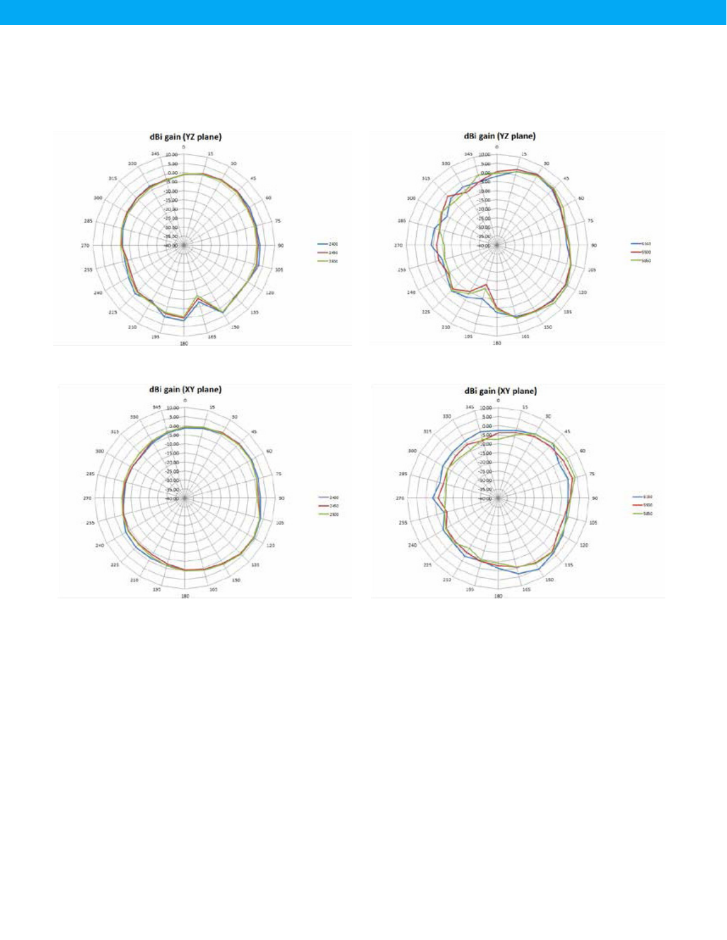